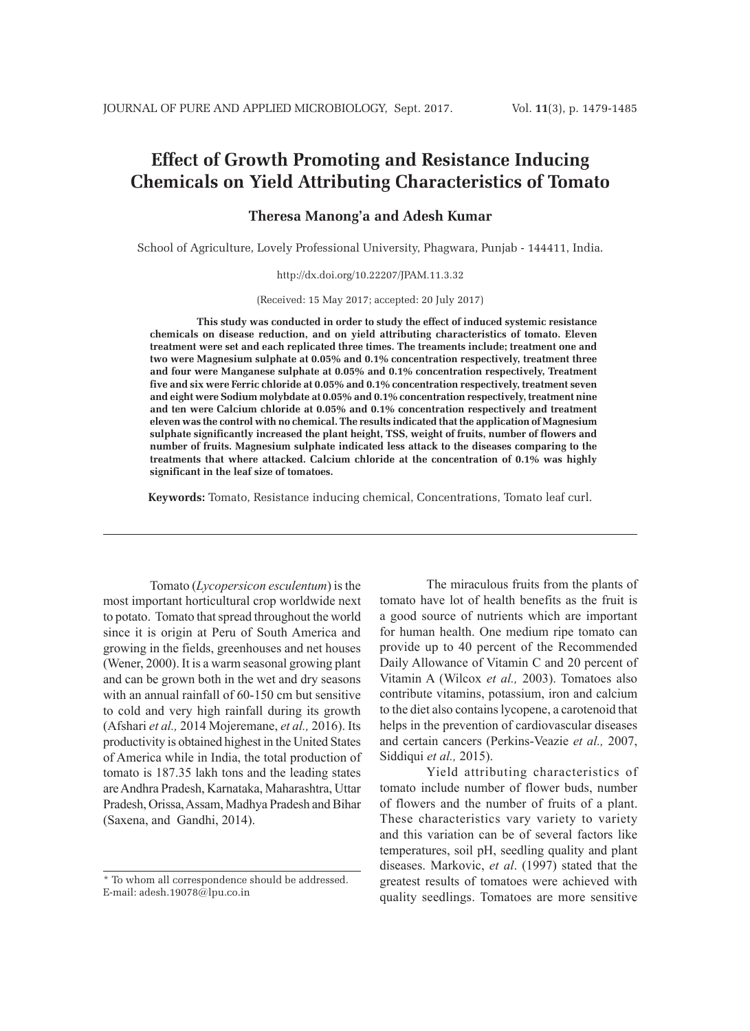# **Effect of Growth Promoting and Resistance Inducing Chemicals on Yield Attributing Characteristics of Tomato**

#### **Theresa Manong'a and Adesh Kumar**

School of Agriculture, Lovely Professional University, Phagwara, Punjab - 144411, India.

http://dx.doi.org/10.22207/JPAM.11.3.32

(Received: 15 May 2017; accepted: 20 July 2017)

**This study was conducted in order to study the effect of induced systemic resistance chemicals on disease reduction, and on yield attributing characteristics of tomato. Eleven treatment were set and each replicated three times. The treaments include; treatment one and two were Magnesium sulphate at 0.05% and 0.1% concentration respectively, treatment three and four were Manganese sulphate at 0.05% and 0.1% concentration respectively, Treatment five and six were Ferric chloride at 0.05% and 0.1% concentration respectively, treatment seven and eight were Sodium molybdate at 0.05% and 0.1% concentration respectively, treatment nine and ten were Calcium chloride at 0.05% and 0.1% concentration respectively and treatment eleven was the control with no chemical. The results indicated that the application of Magnesium sulphate significantly increased the plant height, TSS, weight of fruits, number of flowers and number of fruits. Magnesium sulphate indicated less attack to the diseases comparing to the treatments that where attacked. Calcium chloride at the concentration of 0.1% was highly significant in the leaf size of tomatoes.**

**Keywords:** Tomato, Resistance inducing chemical, Concentrations, Tomato leaf curl.

Tomato (*Lycopersicon esculentum*) is the most important horticultural crop worldwide next to potato. Tomato that spread throughout the world since it is origin at Peru of South America and growing in the fields, greenhouses and net houses (Wener, 2000). It is a warm seasonal growing plant and can be grown both in the wet and dry seasons with an annual rainfall of 60-150 cm but sensitive to cold and very high rainfall during its growth (Afshari *et al.,* 2014 Mojeremane, *et al.,* 2016). Its productivity is obtained highest in the United States of America while in India, the total production of tomato is 187.35 lakh tons and the leading states are Andhra Pradesh, Karnataka, Maharashtra, Uttar Pradesh, Orissa, Assam, Madhya Pradesh and Bihar (Saxena, and Gandhi, 2014).

The miraculous fruits from the plants of tomato have lot of health benefits as the fruit is a good source of nutrients which are important for human health. One medium ripe tomato can provide up to 40 percent of the Recommended Daily Allowance of Vitamin C and 20 percent of Vitamin A (Wilcox *et al.,* 2003). Tomatoes also contribute vitamins, potassium, iron and calcium to the diet also contains lycopene, a carotenoid that helps in the prevention of cardiovascular diseases and certain cancers (Perkins-Veazie *et al.,* 2007, Siddiqui *et al.,* 2015).

Yield attributing characteristics of tomato include number of flower buds, number of flowers and the number of fruits of a plant. These characteristics vary variety to variety and this variation can be of several factors like temperatures, soil pH, seedling quality and plant diseases. Markovic, *et al*. (1997) stated that the greatest results of tomatoes were achieved with quality seedlings. Tomatoes are more sensitive

<sup>\*</sup> To whom all correspondence should be addressed. E-mail: adesh.19078@lpu.co.in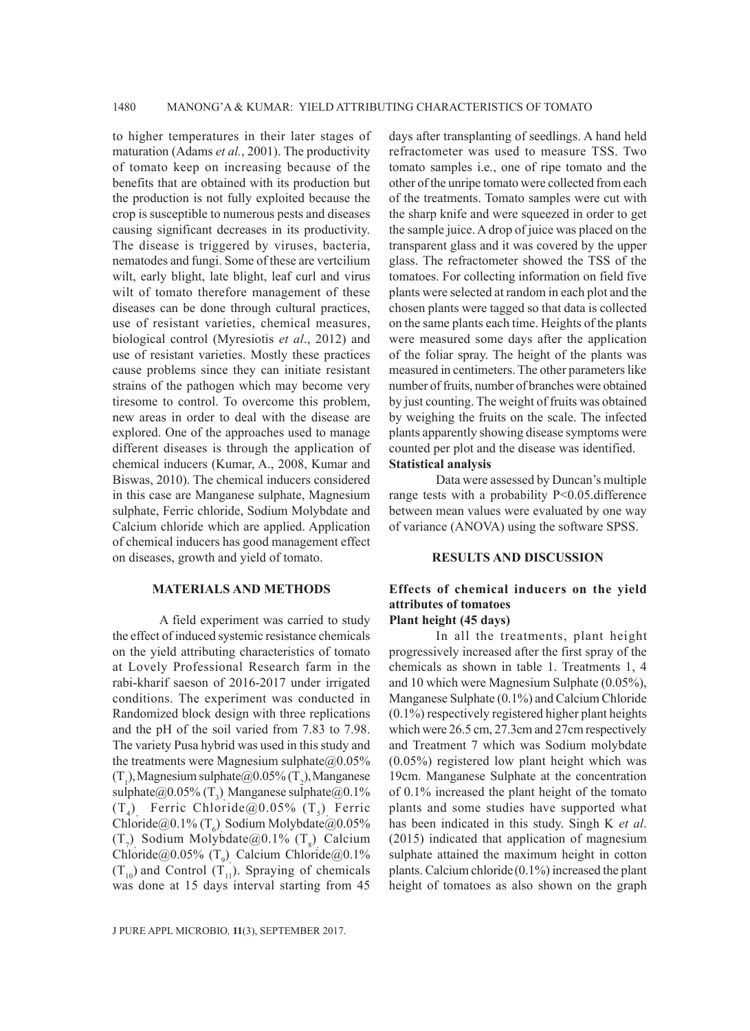to higher temperatures in their later stages of maturation (Adams *et al.*, 2001). The productivity of tomato keep on increasing because of the benefits that are obtained with its production but the production is not fully exploited because the crop is susceptible to numerous pests and diseases causing significant decreases in its productivity. The disease is triggered by viruses, bacteria, nematodes and fungi. Some of these are vertcilium wilt, early blight, late blight, leaf curl and virus wilt of tomato therefore management of these diseases can be done through cultural practices, use of resistant varieties, chemical measures, biological control (Myresiotis *et al*., 2012) and use of resistant varieties. Mostly these practices cause problems since they can initiate resistant strains of the pathogen which may become very tiresome to control. To overcome this problem, new areas in order to deal with the disease are explored. One of the approaches used to manage different diseases is through the application of chemical inducers (Kumar, A., 2008, Kumar and Biswas, 2010). The chemical inducers considered in this case are Manganese sulphate, Magnesium sulphate, Ferric chloride, Sodium Molybdate and Calcium chloride which are applied. Application of chemical inducers has good management effect on diseases, growth and yield of tomato.

#### **MATERIALS AND METHODS**

A field experiment was carried to study the effect of induced systemic resistance chemicals on the yield attributing characteristics of tomato at Lovely Professional Research farm in the rabi-kharif saeson of 2016-2017 under irrigated conditions. The experiment was conducted in Randomized block design with three replications and the pH of the soil varied from 7.83 to 7.98. The variety Pusa hybrid was used in this study and the treatments were Magnesium sulphate $@0.05\%$  $(T_1)$ , Magnesium sulphate $@0.05\%$   $(T_2)$ , Manganese sulphate $@0.05\%$  (T<sub>3</sub>) Manganese sulphate $@0.1\%$  $(T_4)$  Ferric Chloride@0.05%  $(T_5)$  Ferric Chloride@0.1%  $(T_6)$  Sodium Molybdate@0.05%  $(T_7)$  Sodium Molybdate@0.1%  $(T_8)$  Calcium Chloride@0.05%  $(T_9)$  Calcium Chloride@0.1%  $(T_{10})$  and Control  $(T_{11})$ . Spraying of chemicals was done at 15 days interval starting from 45

days after transplanting of seedlings. A hand held refractometer was used to measure TSS. Two tomato samples i.e., one of ripe tomato and the other of the unripe tomato were collected from each of the treatments. Tomato samples were cut with the sharp knife and were squeezed in order to get the sample juice. A drop of juice was placed on the transparent glass and it was covered by the upper glass. The refractometer showed the TSS of the tomatoes. For collecting information on field five plants were selected at random in each plot and the chosen plants were tagged so that data is collected on the same plants each time. Heights of the plants were measured some days after the application of the foliar spray. The height of the plants was measured in centimeters. The other parameters like number of fruits, number of branches were obtained by just counting. The weight of fruits was obtained by weighing the fruits on the scale. The infected plants apparently showing disease symptoms were counted per plot and the disease was identified. **Statistical analysis** 

Data were assessed by Duncan's multiple range tests with a probability P<0.05.difference between mean values were evaluated by one way of variance (ANOVA) using the software SPSS.

## **RESULTS AND DISCUSSION**

#### **Effects of chemical inducers on the yield attributes of tomatoes Plant height (45 days)**

In all the treatments, plant height progressively increased after the first spray of the chemicals as shown in table 1. Treatments 1, 4 and 10 which were Magnesium Sulphate (0.05%), Manganese Sulphate (0.1%) and Calcium Chloride (0.1%) respectively registered higher plant heights which were 26.5 cm, 27.3cm and 27cm respectively and Treatment 7 which was Sodium molybdate (0.05%) registered low plant height which was 19cm. Manganese Sulphate at the concentration of 0.1% increased the plant height of the tomato plants and some studies have supported what has been indicated in this study. Singh K *et al*. (2015) indicated that application of magnesium sulphate attained the maximum height in cotton plants. Calcium chloride(0.1%) increased the plant height of tomatoes as also shown on the graph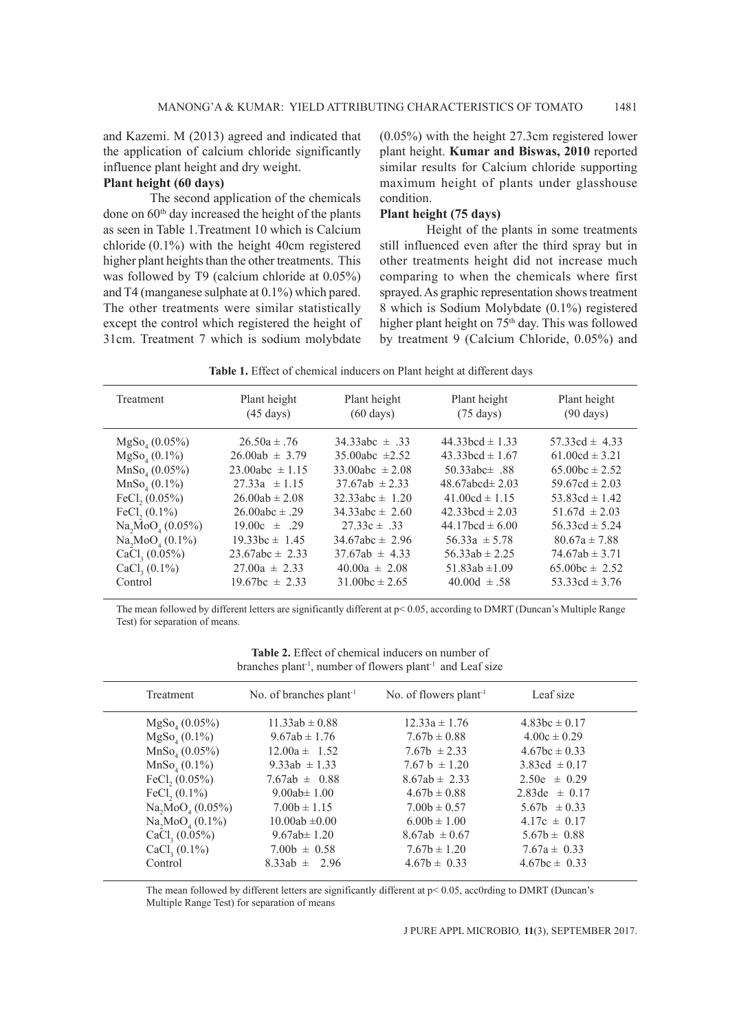and Kazemi. M (2013) agreed and indicated that the application of calcium chloride significantly influence plant height and dry weight.

## **Plant height (60 days)**

The second application of the chemicals done on 60<sup>th</sup> day increased the height of the plants as seen in Table 1.Treatment 10 which is Calcium chloride (0.1%) with the height 40cm registered higher plant heights than the other treatments. This was followed by T9 (calcium chloride at 0.05%) and T4 (manganese sulphate at 0.1%) which pared. The other treatments were similar statistically except the control which registered the height of 31cm. Treatment 7 which is sodium molybdate

(0.05%) with the height 27.3cm registered lower plant height. **Kumar and Biswas, 2010** reported similar results for Calcium chloride supporting maximum height of plants under glasshouse condition.

## **Plant height (75 days)**

Height of the plants in some treatments still influenced even after the third spray but in other treatments height did not increase much comparing to when the chemicals where first sprayed. As graphic representation shows treatment 8 which is Sodium Molybdate (0.1%) registered higher plant height on 75<sup>th</sup> day. This was followed by treatment 9 (Calcium Chloride, 0.05%) and

| Plant height<br>Plant height<br>Plant height<br>Treatment<br>$(60 \text{ days})$<br>$(90 \text{ days})$<br>$(45 \text{ days})$<br>$(75 \text{ days})$<br>$44.33bcd \pm 1.33$<br>$MgSo(0.05\%)$<br>$26.50a \pm .76$<br>34.33abc $\pm$ .33<br>$MgSo_{4}(0.1\%)$<br>$26.00ab \pm 3.79$<br>35.00abc $\pm 2.52$<br>$43.33 \text{bcd} \pm 1.67$<br>MnSo(0.05%)<br>$23.00abc \pm 1.15$<br>33.00abc $\pm 2.08$<br>50.33abc $\pm$ .88<br>$MnSo(0.1\%)$<br>$27.33a \pm 1.15$<br>$37.67ab \pm 2.33$<br>48.67abcd $\pm$ 2.03<br>FeCl. $(0.05\%)$<br>$26.00ab \pm 2.08$<br>$32.33abc \pm 1.20$<br>$41.00cd \pm 1.15$ |                 |                    |                     |                      |                                                                                                                                                                                                                                              |
|---------------------------------------------------------------------------------------------------------------------------------------------------------------------------------------------------------------------------------------------------------------------------------------------------------------------------------------------------------------------------------------------------------------------------------------------------------------------------------------------------------------------------------------------------------------------------------------------------------|-----------------|--------------------|---------------------|----------------------|----------------------------------------------------------------------------------------------------------------------------------------------------------------------------------------------------------------------------------------------|
|                                                                                                                                                                                                                                                                                                                                                                                                                                                                                                                                                                                                         |                 |                    |                     |                      | Plant height                                                                                                                                                                                                                                 |
| Na, MoO <sub>4</sub> (0.05%)<br>$44.17$ bcd $\pm 6.00$<br>$19.00c \pm .29$<br>$27.33c \pm .33$<br>Na, MoO <sub>4</sub> (0.1%)<br>$19.33bc \pm 1.45$<br>$34.67abc \pm 2.96$<br>$56.33a \pm 5.78$<br>CaCl <sub>3</sub> (0.05%)<br>$23.67abc \pm 2.33$<br>$37.67ab \pm 4.33$<br>$56.33ab \pm 2.25$<br>CaCl <sub>3</sub> (0.1%)<br>$27.00a \pm 2.33$<br>$40.00a \pm 2.08$<br>$51.83ab \pm 1.09$<br>$31.00bc \pm 2.65$<br>$19.67bc \pm 2.33$<br>$40.00d \pm .58$<br>Control                                                                                                                                  | FeCl. $(0.1\%)$ | $26.00abc \pm .29$ | $34.33abc \pm 2.60$ | 42.33 hcd $\pm$ 2.03 | $57.33cd \pm 4.33$<br>$61.00cd \pm 3.21$<br>65.00bc $\pm 2.52$<br>59.67cd $\pm 2.03$<br>53.83cd $\pm$ 1.42<br>$51.67d \pm 2.03$<br>$56.33cd \pm 5.24$<br>$80.67a \pm 7.88$<br>$74.67ab \pm 3.71$<br>$65.00bc \pm 2.52$<br>53.33cd $\pm$ 3.76 |

**Table 1.** Effect of chemical inducers on Plant height at different days

The mean followed by different letters are significantly different at p< 0.05, according to DMRT (Duncan's Multiple Range Test) for separation of means.

**Table 2.** Effect of chemical inducers on number of branches plant<sup>-1</sup>, number of flowers plant<sup>-1</sup> and Leaf size

| Treatment                    | No. of branches $plant1$ | No. of flowers plant <sup>-1</sup> | Leaf size         |
|------------------------------|--------------------------|------------------------------------|-------------------|
| $MgSo(0.05\%)$               | $11.33ab \pm 0.88$       | $12.33a \pm 1.76$                  | $4.83bc \pm 0.17$ |
| $MgSo_{4}(0.1\%)$            | $9.67ab \pm 1.76$        | $7.67b \pm 0.88$                   | $4.00c \pm 0.29$  |
| MnSo <sub>4</sub> (0.05%)    | $12.00a \pm 1.52$        | $7.67b \pm 2.33$                   | $4.67bc \pm 0.33$ |
| $MnSo_{4}(0.1\%)$            | 9.33ab $\pm$ 1.33        | $7.67 h \pm 1.20$                  | 3.83cd $\pm 0.17$ |
| FeCl, $(0.05\%)$             | 7.67ab $\pm$ 0.88        | $8.67ab \pm 2.33$                  | $2.50e \pm 0.29$  |
| FeCl, $(0.1\%)$              | 9.00ab $\pm$ 1.00        | $4.67b \pm 0.88$                   | 2.83de $\pm$ 0.17 |
| Na, MoO <sub>4</sub> (0.05%) | $7.00b \pm 1.15$         | $7.00b \pm 0.57$                   | $5.67b \pm 0.33$  |
| $Na, MoO_{4} (0.1\%)$        | $10.00ab \pm 0.00$       | $6.00b \pm 1.00$                   | $4.17c \pm 0.17$  |
| CaCl <sub>3</sub> (0.05%)    | 9.67ab $\pm$ 1.20        | $8.67ab \pm 0.67$                  | $5.67b \pm 0.88$  |
| CaCl <sub>3</sub> (0.1%)     | $7.00b \pm 0.58$         | $7.67b \pm 1.20$                   | $7.67a \pm 0.33$  |
| Control                      | $8.33ab \pm 2.96$        | $4.67b \pm 0.33$                   | $4.67bc \pm 0.33$ |

The mean followed by different letters are significantly different at p< 0.05, acc0rding to DMRT (Duncan's Multiple Range Test) for separation of means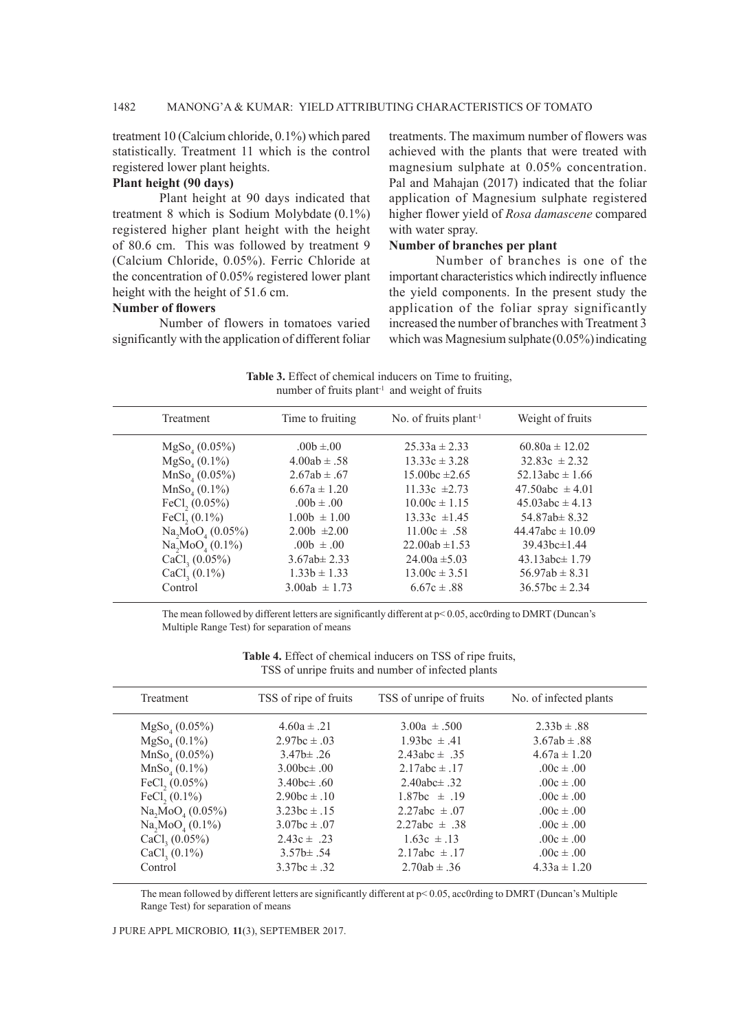treatment 10 (Calcium chloride, 0.1%) which pared statistically. Treatment 11 which is the control registered lower plant heights.

## **Plant height (90 days)**

Plant height at 90 days indicated that treatment 8 which is Sodium Molybdate (0.1%) registered higher plant height with the height of 80.6 cm. This was followed by treatment 9 (Calcium Chloride, 0.05%). Ferric Chloride at the concentration of 0.05% registered lower plant height with the height of 51.6 cm.

#### **Number of flowers**

Number of flowers in tomatoes varied significantly with the application of different foliar

treatments. The maximum number of flowers was achieved with the plants that were treated with magnesium sulphate at 0.05% concentration. Pal and Mahajan (2017) indicated that the foliar application of Magnesium sulphate registered higher flower yield of *Rosa damascene* compared with water spray.

#### **Number of branches per plant**

Number of branches is one of the important characteristics which indirectly influence the yield components. In the present study the application of the foliar spray significantly increased the number of branches with Treatment 3 which was Magnesium sulphate $(0.05\%)$  indicating

**Table 3.** Effect of chemical inducers on Time to fruiting, number of fruits plant<sup>-1</sup> and weight of fruits

| Treatment                               | Time to fruiting  | No. of fruits plant <sup>-1</sup> | Weight of fruits     |  |
|-----------------------------------------|-------------------|-----------------------------------|----------------------|--|
| $MgSo(0.05\%)$                          | $.00b \pm .00$    | $25.33a \pm 2.33$                 | $60.80a \pm 12.02$   |  |
| $MgSo_{4}(0.1\%)$                       | $4.00ab \pm .58$  | $13.33c \pm 3.28$                 | $32.83c \pm 2.32$    |  |
| MnSo <sub>4</sub> (0.05%)               | $2.67ab \pm .67$  | $15.00bc \pm 2.65$                | 52.13abc $\pm$ 1.66  |  |
| MnSo <sub>4</sub> (0.1%)                | $6.67a \pm 1.20$  | $11.33c \pm 2.73$                 | 47.50abc $\pm$ 4.01  |  |
| FeCl, $(0.05\%)$                        | $.00b \pm .00$    | $10.00c \pm 1.15$                 | 45.03abc $\pm$ 4.13  |  |
| FeCl <sub>2</sub> $(0.1\%)$             | $1.00b \pm 1.00$  | $13.33c \pm 1.45$                 | 54.87ab $\pm$ 8.32   |  |
| Na, MoO <sub>4</sub> (0.05%)            | $2.00b \pm 2.00$  | $11.00c \pm .58$                  | $44.47abc \pm 10.09$ |  |
| Na <sub>2</sub> MoO <sub>4</sub> (0.1%) | $.00b \pm .00$    | $22.00ab \pm 1.53$                | $39.43bc \pm 1.44$   |  |
| CaCl <sub>3</sub> (0.05%)               | $3.67ab \pm 2.33$ | $24.00a \pm 5.03$                 | 43.13abc $\pm$ 1.79  |  |
| CaCl <sub>3</sub> (0.1%)                | $1.33b \pm 1.33$  | $13.00c \pm 3.51$                 | $56.97ab \pm 8.31$   |  |
| Control                                 | $3.00ab \pm 1.73$ | $6.67c \pm .88$                   | $36.57bc \pm 2.34$   |  |
|                                         |                   |                                   |                      |  |

The mean followed by different letters are significantly different at p< 0.05, acc0rding to DMRT (Duncan's Multiple Range Test) for separation of means

| <b>Table 4.</b> Effect of chemical inducers on TSS of ripe fruits, |  |  |  |
|--------------------------------------------------------------------|--|--|--|
| TSS of unripe fruits and number of infected plants                 |  |  |  |

| Treatment                                | TSS of ripe of fruits | TSS of unripe of fruits | No. of infected plants |  |
|------------------------------------------|-----------------------|-------------------------|------------------------|--|
| $MgSo_{4}(0.05\%)$                       | $4.60a \pm .21$       | $3.00a \pm .500$        | $2.33b \pm .88$        |  |
| $MgSo_{4}(0.1\%)$                        | $2.97bc \pm .03$      | $1.93bc \pm .41$        | $3.67ab \pm .88$       |  |
| MnSo <sub>4</sub> (0.05%)                | $3.47b \pm .26$       | 2.43abc $\pm$ .35       | $4.67a \pm 1.20$       |  |
| MnSo <sub>4</sub> (0.1%)                 | 3.00 $bc \pm .00$     | $2.17abc \pm .17$       | $.00c \pm .00$         |  |
| FeCl, $(0.05\%)$                         | 3.40bc $\pm$ .60      | 2.40abc $\pm$ .32       | $.00c \pm .00$         |  |
| FeCl, $(0.1\%)$                          | $2.90bc \pm .10$      | $1.87bc \pm .19$        | $.00c \pm .00$         |  |
| Na <sub>2</sub> MoO <sub>4</sub> (0.05%) | $3.23bc \pm .15$      | 2.27abc $\pm .07$       | $.00c \pm .00$         |  |
| Na, MoO <sub>4</sub> (0.1%)              | $3.07bc \pm .07$      | $2.27abc \pm .38$       | $.00c \pm .00$         |  |
| CaCl <sub>3</sub> (0.05%)                | $2.43c \pm .23$       | $1.63c \pm .13$         | .00 $c \pm .00$        |  |
| CaCl <sub>3</sub> (0.1%)                 | $3.57b \pm .54$       | $2.17abc \pm .17$       | $.00c \pm .00$         |  |
| Control                                  | $3.37$ hc $\pm .32$   | $2.70ab \pm .36$        | $4.33a \pm 1.20$       |  |
|                                          |                       |                         |                        |  |

The mean followed by different letters are significantly different at p< 0.05, acc0rding to DMRT (Duncan's Multiple Range Test) for separation of means

#### J PURE APPL MICROBIO*,* **11**(3), SEPTEMBER 2017.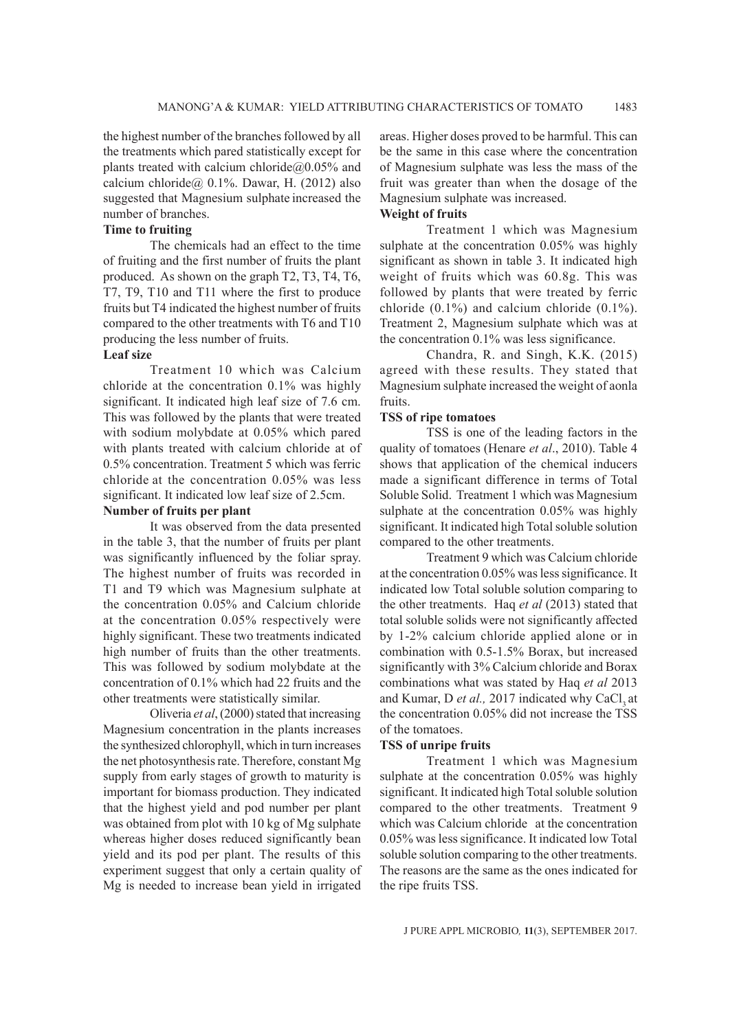the highest number of the branches followed by all the treatments which pared statistically except for plants treated with calcium chloride $@0.05\%$  and calcium chloride $@$ , 0.1%. Dawar, H. (2012) also suggested that Magnesium sulphate increased the number of branches.

## **Time to fruiting**

The chemicals had an effect to the time of fruiting and the first number of fruits the plant produced. As shown on the graph T2, T3, T4, T6, T7, T9, T10 and T11 where the first to produce fruits but T4 indicated the highest number of fruits compared to the other treatments with T6 and T10 producing the less number of fruits.

## **Leaf size**

Treatment 10 which was Calcium chloride at the concentration 0.1% was highly significant. It indicated high leaf size of 7.6 cm. This was followed by the plants that were treated with sodium molybdate at 0.05% which pared with plants treated with calcium chloride at of 0.5% concentration. Treatment 5 which was ferric chloride at the concentration 0.05% was less significant. It indicated low leaf size of 2.5cm.

## **Number of fruits per plant**

It was observed from the data presented in the table 3, that the number of fruits per plant was significantly influenced by the foliar spray. The highest number of fruits was recorded in T1 and T9 which was Magnesium sulphate at the concentration 0.05% and Calcium chloride at the concentration 0.05% respectively were highly significant. These two treatments indicated high number of fruits than the other treatments. This was followed by sodium molybdate at the concentration of 0.1% which had 22 fruits and the other treatments were statistically similar.

Oliveria *et al*, (2000) stated that increasing Magnesium concentration in the plants increases the synthesized chlorophyll, which in turn increases the net photosynthesis rate. Therefore, constant Mg supply from early stages of growth to maturity is important for biomass production. They indicated that the highest yield and pod number per plant was obtained from plot with 10 kg of Mg sulphate whereas higher doses reduced significantly bean yield and its pod per plant. The results of this experiment suggest that only a certain quality of Mg is needed to increase bean yield in irrigated areas. Higher doses proved to be harmful. This can be the same in this case where the concentration of Magnesium sulphate was less the mass of the fruit was greater than when the dosage of the Magnesium sulphate was increased.

## **Weight of fruits**

Treatment 1 which was Magnesium sulphate at the concentration 0.05% was highly significant as shown in table 3. It indicated high weight of fruits which was 60.8g. This was followed by plants that were treated by ferric chloride  $(0.1\%)$  and calcium chloride  $(0.1\%)$ . Treatment 2, Magnesium sulphate which was at the concentration 0.1% was less significance.

Chandra, R. and Singh, K.K. (2015) agreed with these results. They stated that Magnesium sulphate increased the weight of aonla fruits.

## **TSS of ripe tomatoes**

TSS is one of the leading factors in the quality of tomatoes (Henare *et al*., 2010). Table 4 shows that application of the chemical inducers made a significant difference in terms of Total Soluble Solid. Treatment 1 which was Magnesium sulphate at the concentration 0.05% was highly significant. It indicated high Total soluble solution compared to the other treatments.

Treatment 9 which was Calcium chloride at the concentration 0.05% was less significance. It indicated low Total soluble solution comparing to the other treatments. Haq *et al* (2013) stated that total soluble solids were not significantly affected by 1-2% calcium chloride applied alone or in combination with 0.5-1.5% Borax, but increased significantly with 3% Calcium chloride and Borax combinations what was stated by Haq *et al* 2013 and Kumar, D et al., 2017 indicated why CaCl, at the concentration 0.05% did not increase the TSS of the tomatoes.

#### **TSS of unripe fruits**

Treatment 1 which was Magnesium sulphate at the concentration 0.05% was highly significant. It indicated high Total soluble solution compared to the other treatments. Treatment 9 which was Calcium chloride at the concentration 0.05% was less significance. It indicated low Total soluble solution comparing to the other treatments. The reasons are the same as the ones indicated for the ripe fruits TSS.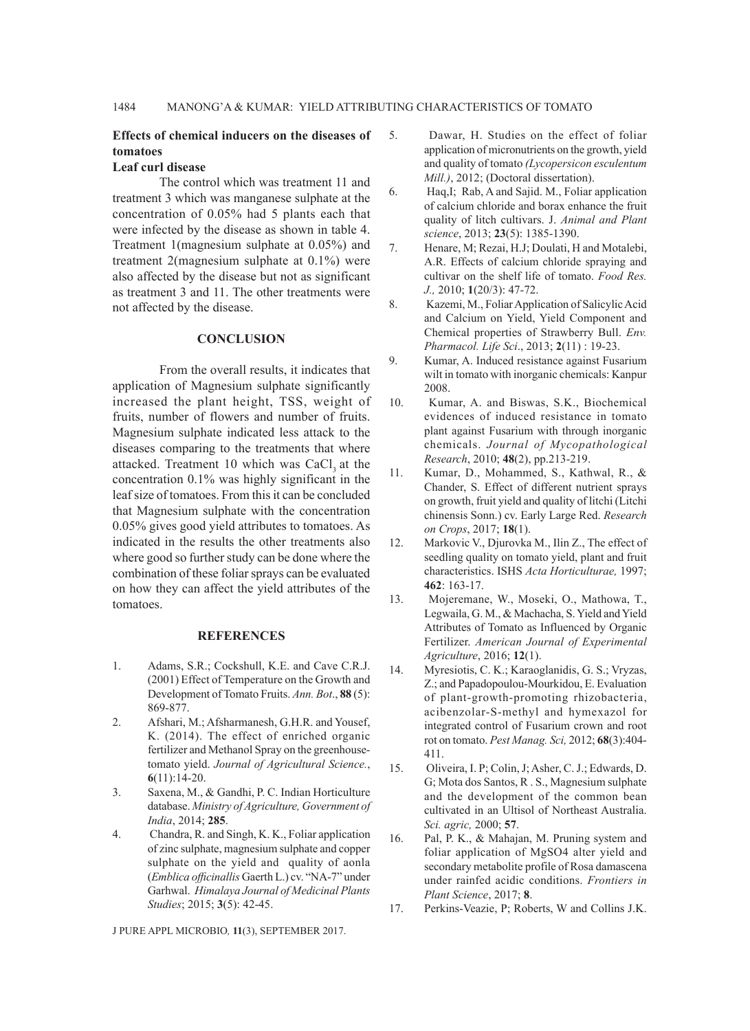## **Effects of chemical inducers on the diseases of tomatoes**

#### **Leaf curl disease**

The control which was treatment 11 and treatment 3 which was manganese sulphate at the concentration of 0.05% had 5 plants each that were infected by the disease as shown in table 4. Treatment 1(magnesium sulphate at 0.05%) and treatment 2(magnesium sulphate at 0.1%) were also affected by the disease but not as significant as treatment 3 and 11. The other treatments were not affected by the disease.

#### **CONCLUSION**

From the overall results, it indicates that application of Magnesium sulphate significantly increased the plant height, TSS, weight of fruits, number of flowers and number of fruits. Magnesium sulphate indicated less attack to the diseases comparing to the treatments that where attacked. Treatment 10 which was CaCl, at the concentration 0.1% was highly significant in the leaf size of tomatoes. From this it can be concluded that Magnesium sulphate with the concentration 0.05% gives good yield attributes to tomatoes. As indicated in the results the other treatments also where good so further study can be done where the combination of these foliar sprays can be evaluated on how they can affect the yield attributes of the tomatoes.

#### **REFERENCES**

- 1. Adams, S.R.; Cockshull, K.E. and Cave C.R.J. (2001) Effect of Temperature on the Growth and Development of Tomato Fruits. *Ann. Bot*., **88** (5): 869-877.
- 2. Afshari, M.; Afsharmanesh, G.H.R. and Yousef, K. (2014). The effect of enriched organic fertilizer and Methanol Spray on the greenhousetomato yield. *Journal of Agricultural Science.*, **6**(11):14-20.
- 3. Saxena, M., & Gandhi, P. C. Indian Horticulture database. *Ministry of Agriculture, Government of India*, 2014; **285**.
- 4. Chandra, R. and Singh, K. K., Foliar application of zinc sulphate, magnesium sulphate and copper sulphate on the yield and quality of aonla (*Emblica officinallis* Gaerth L.) cv. "NA-7" under Garhwal. *Himalaya Journal of Medicinal Plants Studies*; 2015; **3**(5): 42-45.
- 5. Dawar, H. Studies on the effect of foliar application of micronutrients on the growth, yield and quality of tomato *(Lycopersicon esculentum Mill.)*, 2012; (Doctoral dissertation).
- 6. Haq,I; Rab, A and Sajid. M., Foliar application of calcium chloride and borax enhance the fruit quality of litch cultivars. J. *Animal and Plant science*, 2013; **23**(5): 1385-1390.
- 7. Henare, M; Rezai, H.J; Doulati, H and Motalebi, A.R. Effects of calcium chloride spraying and cultivar on the shelf life of tomato. *Food Res. J.,* 2010; **1**(20/3): 47-72.
- 8. Kazemi, M., Foliar Application of Salicylic Acid and Calcium on Yield, Yield Component and Chemical properties of Strawberry Bull. *Env. Pharmacol. Life Sci*., 2013; **2**(11) : 19-23.
- 9. Kumar, A. Induced resistance against Fusarium wilt in tomato with inorganic chemicals: Kanpur 2008.
- 10. Kumar, A. and Biswas, S.K., Biochemical evidences of induced resistance in tomato plant against Fusarium with through inorganic chemicals. *Journal of Mycopathological Research*, 2010; **48**(2), pp.213-219.
- 11. Kumar, D., Mohammed, S., Kathwal, R., & Chander, S. Effect of different nutrient sprays on growth, fruit yield and quality of litchi (Litchi chinensis Sonn.) cv. Early Large Red. *Research on Crops*, 2017; **18**(1).
- 12. Markovic V., Djurovka M., Ilin Z., The effect of seedling quality on tomato yield, plant and fruit characteristics. ISHS *Acta Horticulturae,* 1997; **462**: 163-17.
- 13. Mojeremane, W., Moseki, O., Mathowa, T., Legwaila, G. M., & Machacha, S. Yield and Yield Attributes of Tomato as Influenced by Organic Fertilizer. *American Journal of Experimental Agriculture*, 2016; **12**(1).
- 14. Myresiotis, C. K.; Karaoglanidis, G. S.; Vryzas, Z.; and Papadopoulou-Mourkidou, E. Evaluation of plant-growth-promoting rhizobacteria, acibenzolar-S-methyl and hymexazol for integrated control of Fusarium crown and root rot on tomato. *Pest Manag. Sci,* 2012; **68**(3):404- 411.
- 15. Oliveira, I. P; Colin, J; Asher, C. J.; Edwards, D. G; Mota dos Santos, R . S., Magnesium sulphate and the development of the common bean cultivated in an Ultisol of Northeast Australia. *Sci. agric,* 2000; **57**.
- 16. Pal, P. K., & Mahajan, M. Pruning system and foliar application of MgSO4 alter yield and secondary metabolite profile of Rosa damascena under rainfed acidic conditions. *Frontiers in Plant Science*, 2017; **8**.
- 17. Perkins-Veazie, P; Roberts, W and Collins J.K.

J PURE APPL MICROBIO*,* **11**(3), SEPTEMBER 2017.